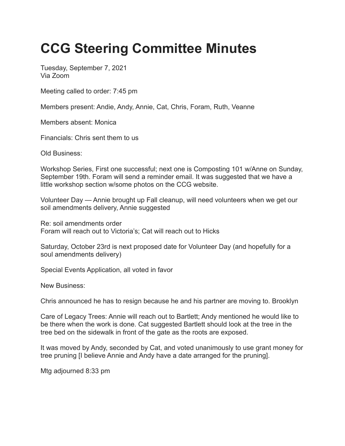## **CCG Steering Committee Minutes**

Tuesday, September 7, 2021 Via Zoom

Meeting called to order: 7:45 pm

Members present: Andie, Andy, Annie, Cat, Chris, Foram, Ruth, Veanne

Members absent: Monica

Financials: Chris sent them to us

Old Business:

Workshop Series, First one successful; next one is Composting 101 w/Anne on Sunday, September 19th. Foram will send a reminder email. It was suggested that we have a little workshop section w/some photos on the CCG website.

Volunteer Day — Annie brought up Fall cleanup, will need volunteers when we get our soil amendments delivery, Annie suggested

Re: soil amendments order Foram will reach out to Victoria's; Cat will reach out to Hicks

```
Saturday, October 23rd is next proposed date for Volunteer Day (and hopefully for a
soul amendments delivery)
```
Special Events Application, all voted in favor

New Business:

Chris announced he has to resign because he and his partner are moving to. Brooklyn

Care of Legacy Trees: Annie will reach out to Bartlett; Andy mentioned he would like to be there when the work is done. Cat suggested Bartlett should look at the tree in the tree bed on the sidewalk in front of the gate as the roots are exposed.

It was moved by Andy, seconded by Cat, and voted unanimously to use grant money for tree pruning [I believe Annie and Andy have a date arranged for the pruning].

Mtg adjourned 8:33 pm